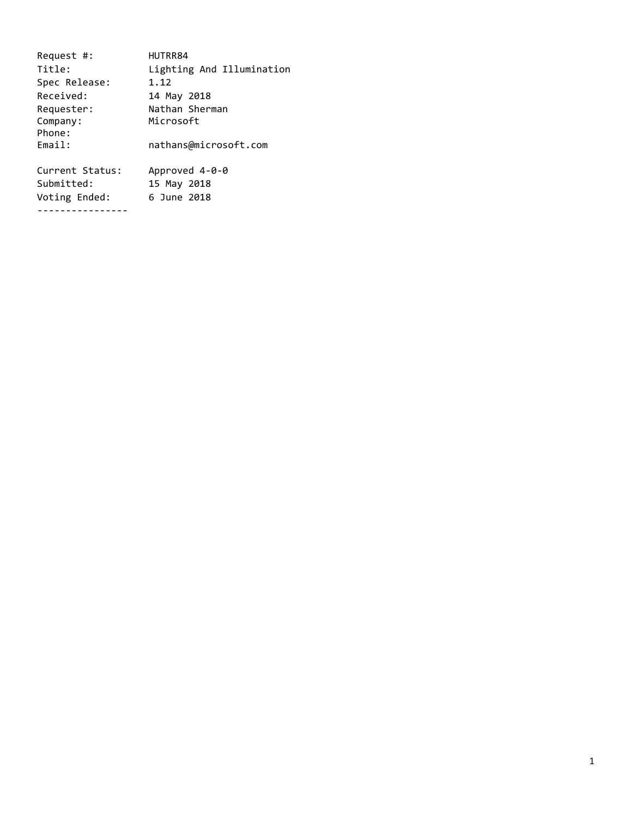| Request #:      | HUTRR84                   |
|-----------------|---------------------------|
| Title:          | Lighting And Illumination |
| Spec Release:   | 1.12                      |
| Received:       | 14 May 2018               |
| Requester:      | Nathan Sherman            |
| Company:        | Microsoft                 |
| Phone:          |                           |
| Email:          | nathans@microsoft.com     |
|                 |                           |
| Current Status: | Approved 4-0-0            |
| Submitted:      | 15 May 2018               |
| Voting Ended:   | 6 June 2018               |
|                 |                           |
|                 |                           |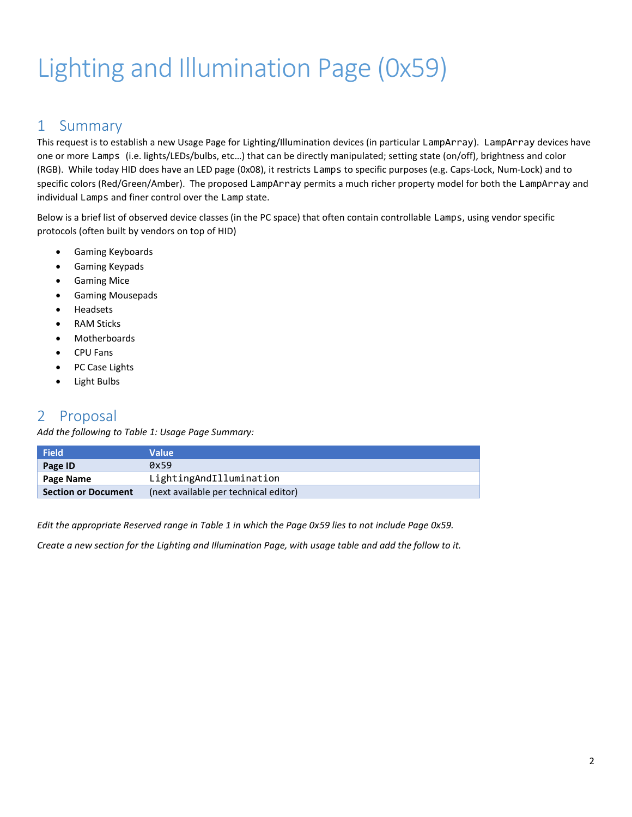# Lighting and Illumination Page (0x59)

# 1 Summary

This request is to establish a new Usage Page for Lighting/Illumination devices (in particular LampArray). LampArray devices have one or more Lamps (i.e. lights/LEDs/bulbs, etc…) that can be directly manipulated; setting state (on/off), brightness and color (RGB). While today HID does have an LED page (0x08), it restricts Lamps to specific purposes (e.g. Caps-Lock, Num-Lock) and to specific colors (Red/Green/Amber). The proposed LampArray permits a much richer property model for both the LampArray and individual Lamps and finer control over the Lamp state.

Below is a brief list of observed device classes (in the PC space) that often contain controllable Lamps, using vendor specific protocols (often built by vendors on top of HID)

- Gaming Keyboards
- Gaming Keypads
- Gaming Mice
- Gaming Mousepads
- Headsets
- **RAM Sticks**
- **Motherboards**
- CPU Fans
- PC Case Lights
- Light Bulbs

## 2 Proposal

*Add the following to Table 1: Usage Page Summary:*

| <b>Field</b>               | <b>Value</b>                          |
|----------------------------|---------------------------------------|
| Page ID                    | <b>Ax59</b>                           |
| Page Name                  | LightingAndIllumination               |
| <b>Section or Document</b> | (next available per technical editor) |

*Edit the appropriate Reserved range in Table 1 in which the Page 0x59 lies to not include Page 0x59.*

*Create a new section for the Lighting and Illumination Page, with usage table and add the follow to it.*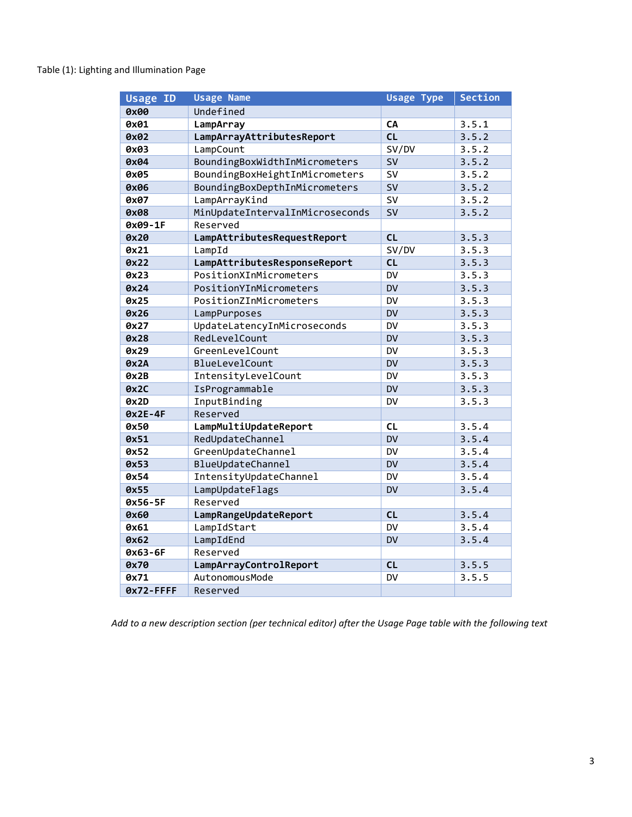## Table (1): Lighting and Illumination Page

| <b>Usage ID</b> | <b>Usage Name</b>               | <b>Usage Type</b> | Section |
|-----------------|---------------------------------|-------------------|---------|
| 0x00            | Undefined                       |                   |         |
| 0x01            | LampArray                       | CA                | 3.5.1   |
| 0x02            | LampArrayAttributesReport       | CL                | 3.5.2   |
| 0x03            | LampCount                       | SV/DV             | 3.5.2   |
| 0x04            | BoundingBoxWidthInMicrometers   | <b>SV</b>         | 3.5.2   |
| 0x05            | BoundingBoxHeightInMicrometers  | <b>SV</b>         | 3.5.2   |
| 0x06            | BoundingBoxDepthInMicrometers   | <b>SV</b>         | 3.5.2   |
| 0x07            | LampArrayKind                   | <b>SV</b>         | 3.5.2   |
| 0x08            | MinUpdateIntervalInMicroseconds | <b>SV</b>         | 3.5.2   |
| 0x09-1F         | Reserved                        |                   |         |
| 0x20            | LampAttributesRequestReport     | CL                | 3.5.3   |
| 0x21            | LampId                          | SV/DV             | 3.5.3   |
| 0x22            | LampAttributesResponseReport    | CL                | 3.5.3   |
| 0x23            | PositionXInMicrometers          | <b>DV</b>         | 3.5.3   |
| 0x24            | PositionYInMicrometers          | <b>DV</b>         | 3.5.3   |
| 0x25            | PositionZInMicrometers          | <b>DV</b>         | 3.5.3   |
| 0x26            | LampPurposes                    | <b>DV</b>         | 3.5.3   |
| 0x27            | UpdateLatencyInMicroseconds     | <b>DV</b>         | 3.5.3   |
| 0x28            | RedLevelCount                   | <b>DV</b>         | 3.5.3   |
| 0x29            | GreenLevelCount                 | <b>DV</b>         | 3.5.3   |
| 0x2A            | BlueLevelCount                  | <b>DV</b>         | 3.5.3   |
| 0x2B            | IntensityLevelCount             | <b>DV</b>         | 3.5.3   |
| 0x2C            | IsProgrammable                  | <b>DV</b>         | 3.5.3   |
| 0x2D            | InputBinding                    | <b>DV</b>         | 3.5.3   |
| $0x2E-4F$       | Reserved                        |                   |         |
| 0x50            | LampMultiUpdateReport           | CL                | 3.5.4   |
| 0x51            | RedUpdateChannel                | <b>DV</b>         | 3.5.4   |
| 0x52            | GreenUpdateChannel              | <b>DV</b>         | 3.5.4   |
| 0x53            | BlueUpdateChannel               | <b>DV</b>         | 3.5.4   |
| 0x54            | IntensityUpdateChannel          | DV                | 3.5.4   |
| 0x55            | LampUpdateFlags                 | <b>DV</b>         | 3.5.4   |
| 0x56-5F         | Reserved                        |                   |         |
| 0x60            | LampRangeUpdateReport           | CL                | 3.5.4   |
| 0x61            | LampIdStart                     | <b>DV</b>         | 3.5.4   |
| 0x62            | LampIdEnd                       | <b>DV</b>         | 3.5.4   |
| 0x63-6F         | Reserved                        |                   |         |
| 0x70            | LampArrayControlReport          | CL                | 3.5.5   |
| 0x71            | AutonomousMode                  | <b>DV</b>         | 3.5.5   |
| 0x72-FFFF       | Reserved                        |                   |         |

*Add to a new description section (per technical editor) after the Usage Page table with the following text*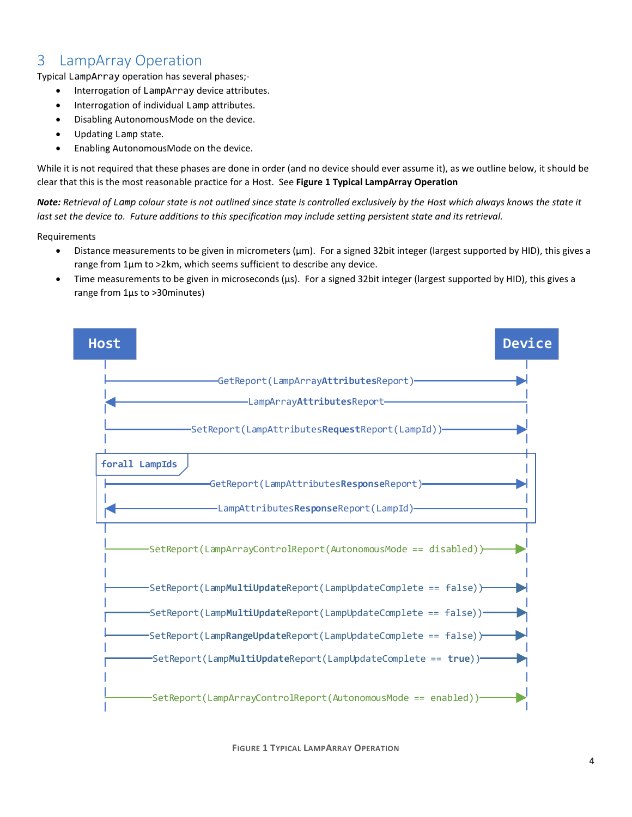# 3 LampArray Operation

Typical LampArray operation has several phases;-

- Interrogation of LampArray device attributes.
- Interrogation of individual Lamp attributes.
- Disabling AutonomousMode on the device.
- Updating Lamp state.
- Enabling AutonomousMode on the device.

While it is not required that these phases are done in order (and no device should ever assume it), as we outline below, it should be clear that this is the most reasonable practice for a Host. See **Figure 1 [Typical LampArray](#page-3-0) Operation**

*Note: Retrieval of Lamp colour state is not outlined since state is controlled exclusively by the Host which always knows the state it*  last set the device to. Future additions to this specification may include setting persistent state and its retrieval.

Requirements

- Distance measurements to be given in micrometers (µm). For a signed 32bit integer (largest supported by HID), this gives a range from 1µm to >2km, which seems sufficient to describe any device.
- Time measurements to be given in microseconds (µs). For a signed 32bit integer (largest supported by HID), this gives a range from 1µs to >30minutes)

<span id="page-3-0"></span>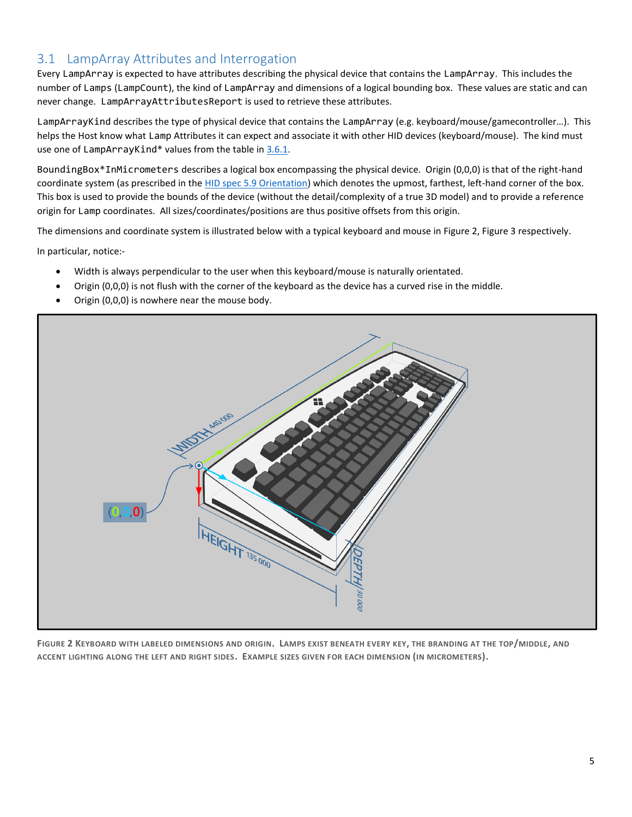## <span id="page-4-1"></span>3.1 LampArray Attributes and Interrogation

Every LampArray is expected to have attributes describing the physical device that contains the LampArray. This includes the number of Lamps (LampCount), the kind of LampArray and dimensions of a logical bounding box. These values are static and can never change. LampArrayAttributesReport is used to retrieve these attributes.

LampArrayKind describes the type of physical device that contains the LampArray (e.g. keyboard/mouse/gamecontroller…). This helps the Host know what Lamp Attributes it can expect and associate it with other HID devices (keyboard/mouse). The kind must use one of LampArrayKind\* values from the table i[n 3.6.1.](#page-16-0)

BoundingBox\*InMicrometers describes a logical box encompassing the physical device. Origin (0,0,0) is that of the right-hand coordinate system (as prescribed in th[e HID spec 5.9 Orientation\)](http://www.usb.org/developers/hidpage/HID1_11.pdf) which denotes the upmost, farthest, left-hand corner of the box. This box is used to provide the bounds of the device (without the detail/complexity of a true 3D model) and to provide a reference origin for Lamp coordinates. All sizes/coordinates/positions are thus positive offsets from this origin.

The dimensions and coordinate system is illustrated below with a typical keyboard and mouse in [Figure 2,](#page-4-0) [Figure 3](#page-5-0) respectively.

In particular, notice:-

- Width is always perpendicular to the user when this keyboard/mouse is naturally orientated.
- Origin (0,0,0) is not flush with the corner of the keyboard as the device has a curved rise in the middle.
- Origin (0,0,0) is nowhere near the mouse body.



<span id="page-4-0"></span>FIGURE 2 KEYBOARD WITH LABELED DIMENSIONS AND ORIGIN. LAMPS EXIST BENEATH EVERY KEY, THE BRANDING AT THE TOP/MIDDLE, AND **ACCENT LIGHTING ALONG THE LEFT AND RIGHT SIDES. EXAMPLE SIZES GIVEN FOR EACH DIMENSION (IN MICROMETERS).**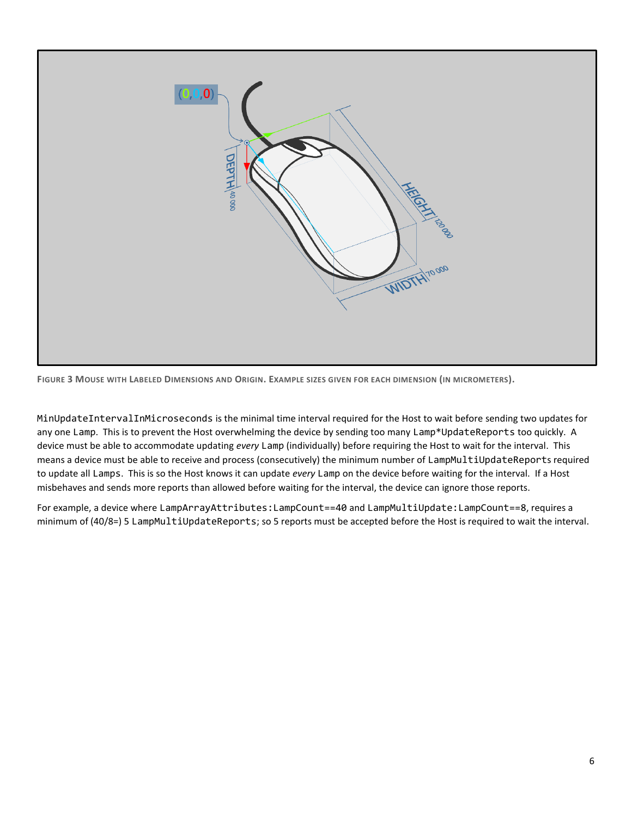

FIGURE 3 MOUSE WITH LABELED DIMENSIONS AND ORIGIN. EXAMPLE SIZES GIVEN FOR EACH DIMENSION (IN MICROMETERS).

<span id="page-5-0"></span>MinUpdateIntervalInMicroseconds is the minimal time interval required for the Host to wait before sending two updates for any one Lamp. This is to prevent the Host overwhelming the device by sending too many Lamp\*UpdateReports too quickly. A device must be able to accommodate updating *every* Lamp (individually) before requiring the Host to wait for the interval. This means a device must be able to receive and process (consecutively) the minimum number of LampMultiUpdateReports required to update all Lamps. This is so the Host knows it can update *every* Lamp on the device before waiting for the interval. If a Host misbehaves and sends more reports than allowed before waiting for the interval, the device can ignore those reports.

For example, a device where LampArrayAttributes:LampCount==40 and LampMultiUpdate:LampCount==8, requires a minimum of (40/8=) 5 LampMultiUpdateReports; so 5 reports must be accepted before the Host is required to wait the interval.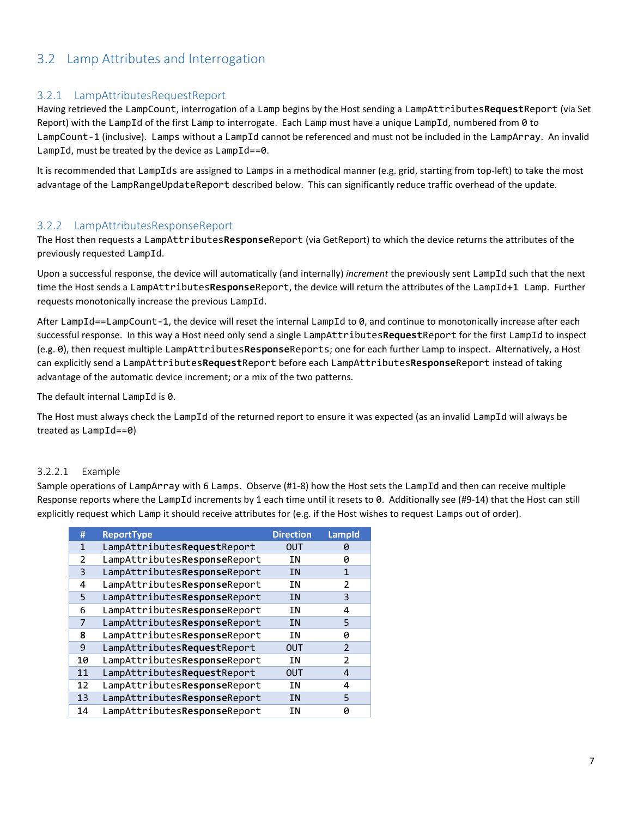## 3.2 Lamp Attributes and Interrogation

#### 3.2.1 LampAttributesRequestReport

Having retrieved the LampCount, interrogation of a Lamp begins by the Host sending a LampAttributes**Request**Report (via Set Report) with the LampId of the first Lamp to interrogate. Each Lamp must have a unique LampId, numbered from 0 to LampCount-1 (inclusive). Lamps without a LampId cannot be referenced and must not be included in the LampArray. An invalid LampId, must be treated by the device as LampId==0.

It is recommended that LampIds are assigned to Lamps in a methodical manner (e.g. grid, starting from top-left) to take the most advantage of the LampRangeUpdateReport described below. This can significantly reduce traffic overhead of the update.

#### 3.2.2 LampAttributesResponseReport

The Host then requests a LampAttributes**Response**Report (via GetReport) to which the device returns the attributes of the previously requested LampId.

Upon a successful response, the device will automatically (and internally) *increment* the previously sent LampId such that the next time the Host sends a LampAttributes**Response**Report, the device will return the attributes of the LampId+1 Lamp. Further requests monotonically increase the previous LampId.

After LampId==LampCount-1, the device will reset the internal LampId to 0, and continue to monotonically increase after each successful response. In this way a Host need only send a single LampAttributes**Request**Report for the first LampId to inspect (e.g. 0), then request multiple LampAttributes**Response**Reports; one for each further Lamp to inspect. Alternatively, a Host can explicitly send a LampAttributes**Request**Report before each LampAttributes**Response**Report instead of taking advantage of the automatic device increment; or a mix of the two patterns.

The default internal LampId is 0.

The Host must always check the LampId of the returned report to ensure it was expected (as an invalid LampId will always be treated as LampId==0)

#### 3.2.2.1 Example

Sample operations of LampArray with 6 Lamps. Observe (#1-8) how the Host sets the LampId and then can receive multiple Response reports where the LampId increments by 1 each time until it resets to 0. Additionally see (#9-14) that the Host can still explicitly request which Lamp it should receive attributes for (e.g. if the Host wishes to request Lamps out of order).

| #              | <b>ReportType</b>            | <b>Direction</b> | <b>LampId</b>  |
|----------------|------------------------------|------------------|----------------|
| $\mathbf{1}$   | LampAttributesRequestReport  | <b>OUT</b>       | 0              |
| $\overline{2}$ | LampAttributesResponseReport | ΙN               | 0              |
| $\overline{3}$ | LampAttributesResponseReport | ΙN               | 1              |
| 4              | LampAttributesResponseReport | ΙN               | 2              |
| 5              | LampAttributesResponseReport | ΙN               | 3              |
| 6              | LampAttributesResponseReport | ΙN               | 4              |
| 7              | LampAttributesResponseReport | ΙN               | 5              |
| 8              | LampAttributesResponseReport | ΙN               | 0              |
| 9              | LampAttributesRequestReport  | <b>OUT</b>       | $\overline{2}$ |
| 10             | LampAttributesResponseReport | ΙN               | $\overline{2}$ |
| 11             | LampAttributesRequestReport  | <b>OUT</b>       | 4              |
| 12             | LampAttributesResponseReport | ΙN               | 4              |
| 13             | LampAttributesResponseReport | <b>IN</b>        | 5              |
| 14             | LampAttributesResponseReport | ΙN               | ø              |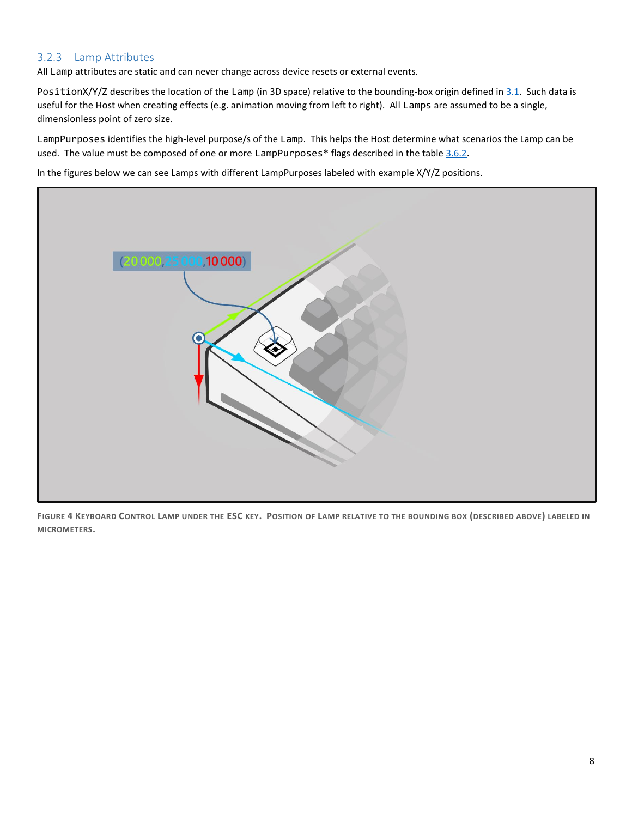#### 3.2.3 Lamp Attributes

All Lamp attributes are static and can never change across device resets or external events.

PositionX/Y/Z describes the location of the Lamp (in 3D space) relative to the bounding-box origin defined i[n 3.1.](#page-4-1) Such data is useful for the Host when creating effects (e.g. animation moving from left to right). All Lamps are assumed to be a single, dimensionless point of zero size.

LampPurposes identifies the high-level purpose/s of the Lamp. This helps the Host determine what scenarios the Lamp can be used. The value must be composed of one or more LampPurposes\* flags described in the table 3.6.2.

In the figures below we can see Lamps with different LampPurposes labeled with example X/Y/Z positions.



FIGURE 4 KEYBOARD CONTROL LAMP UNDER THE ESC KEY. POSITION OF LAMP RELATIVE TO THE BOUNDING BOX (DESCRIBED ABOVE) LABELED IN **MICROMETERS.**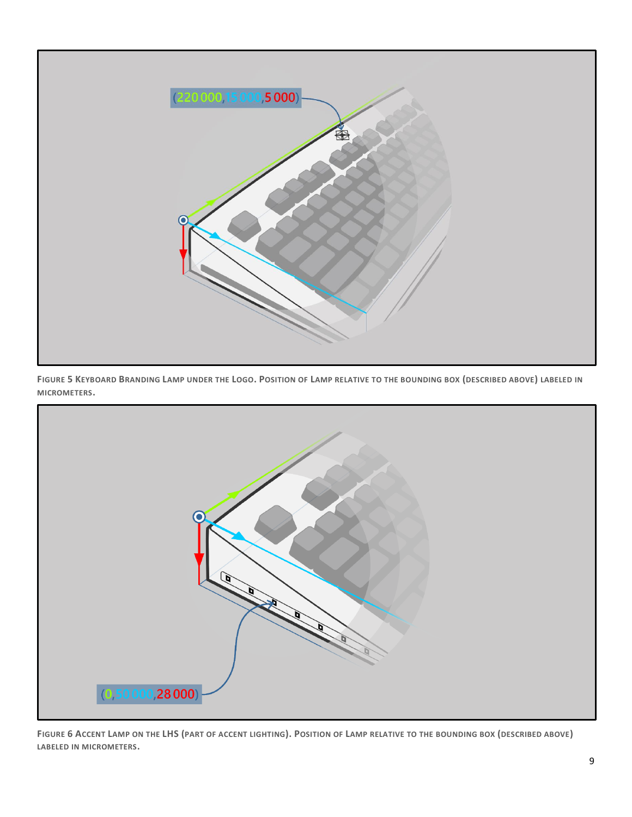

FIGURE 5 KEYBOARD BRANDING LAMP UNDER THE LOGO. POSITION OF LAMP RELATIVE TO THE BOUNDING BOX (DESCRIBED ABOVE) LABELED IN **MICROMETERS.**



FIGURE 6 ACCENT LAMP ON THE LHS (PART OF ACCENT LIGHTING). POSITION OF LAMP RELATIVE TO THE BOUNDING BOX (DESCRIBED ABOVE) **LABELED IN MICROMETERS.**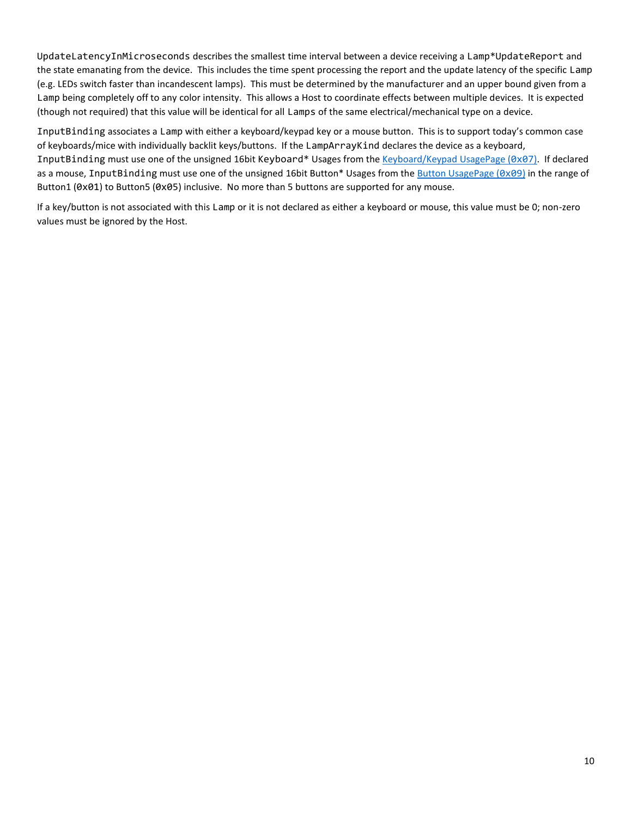UpdateLatencyInMicroseconds describes the smallest time interval between a device receiving a Lamp\*UpdateReport and the state emanating from the device. This includes the time spent processing the report and the update latency of the specific Lamp (e.g. LEDs switch faster than incandescent lamps). This must be determined by the manufacturer and an upper bound given from a Lamp being completely off to any color intensity. This allows a Host to coordinate effects between multiple devices. It is expected (though not required) that this value will be identical for all Lamps of the same electrical/mechanical type on a device.

InputBinding associates a Lamp with either a keyboard/keypad key or a mouse button. This is to support today's common case of keyboards/mice with individually backlit keys/buttons. If the LampArrayKind declares the device as a keyboard, InputBinding must use one of the unsigned 16bit Keyboard\* Usages from th[e Keyboard/Keypad UsagePage \(](http://www.usb.org/developers/hidpage/Hut1_12v2.pdf)0x07). If declared as a mouse, InputBinding must use one of the unsigned 16bit Button\* Usages from the [Button UsagePage \(](http://www.usb.org/developers/hidpage/Hut1_12v2.pdf)0x09) in the range of Button1 (0x01) to Button5 (0x05) inclusive. No more than 5 buttons are supported for any mouse.

If a key/button is not associated with this Lamp or it is not declared as either a keyboard or mouse, this value must be 0; non-zero values must be ignored by the Host.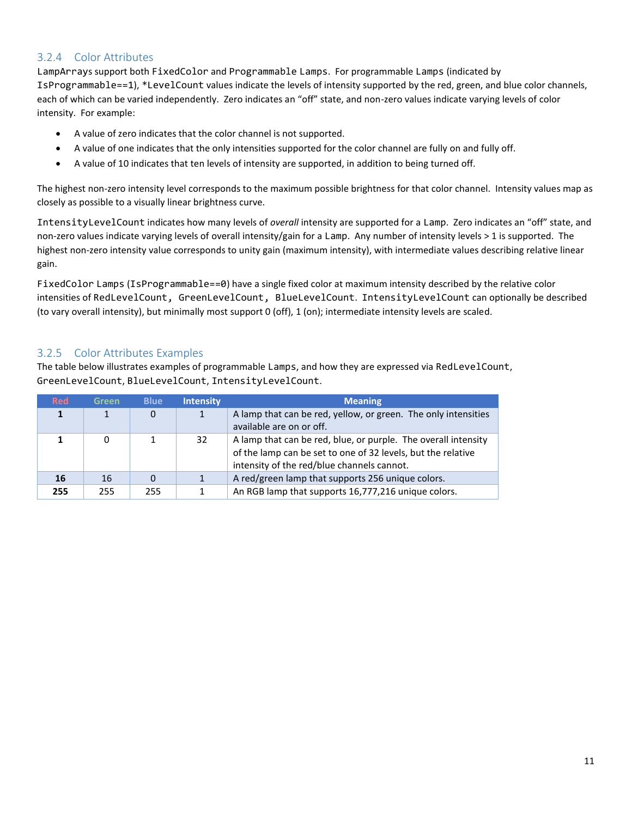#### 3.2.4 Color Attributes

LampArrays support both FixedColor and Programmable Lamps. For programmable Lamps (indicated by IsProgrammable==1), \*LevelCount values indicate the levels of intensity supported by the red, green, and blue color channels, each of which can be varied independently. Zero indicates an "off" state, and non-zero values indicate varying levels of color intensity. For example:

- A value of zero indicates that the color channel is not supported.
- A value of one indicates that the only intensities supported for the color channel are fully on and fully off.
- A value of 10 indicates that ten levels of intensity are supported, in addition to being turned off.

The highest non-zero intensity level corresponds to the maximum possible brightness for that color channel. Intensity values map as closely as possible to a visually linear brightness curve.

IntensityLevelCount indicates how many levels of *overall* intensity are supported for a Lamp. Zero indicates an "off" state, and non-zero values indicate varying levels of overall intensity/gain for a Lamp. Any number of intensity levels > 1 is supported. The highest non-zero intensity value corresponds to unity gain (maximum intensity), with intermediate values describing relative linear gain.

FixedColor Lamps (IsProgrammable==0) have a single fixed color at maximum intensity described by the relative color intensities of RedLevelCount, GreenLevelCount, BlueLevelCount. IntensityLevelCount can optionally be described (to vary overall intensity), but minimally most support 0 (off), 1 (on); intermediate intensity levels are scaled.

#### 3.2.5 Color Attributes Examples

The table below illustrates examples of programmable Lamps, and how they are expressed via RedLevelCount, GreenLevelCount, BlueLevelCount, IntensityLevelCount.

| <b>Red</b> | Green | <b>Blue</b> | <b>Intensity</b> | <b>Meaning</b>                                                                                                                                                               |
|------------|-------|-------------|------------------|------------------------------------------------------------------------------------------------------------------------------------------------------------------------------|
|            |       | 0           |                  | A lamp that can be red, yellow, or green. The only intensities<br>available are on or off.                                                                                   |
|            |       |             | 32               | A lamp that can be red, blue, or purple. The overall intensity<br>of the lamp can be set to one of 32 levels, but the relative<br>intensity of the red/blue channels cannot. |
| 16         | 16    | $\Omega$    | 1                | A red/green lamp that supports 256 unique colors.                                                                                                                            |
| 255        | 255   | 255         |                  | An RGB lamp that supports 16,777,216 unique colors.                                                                                                                          |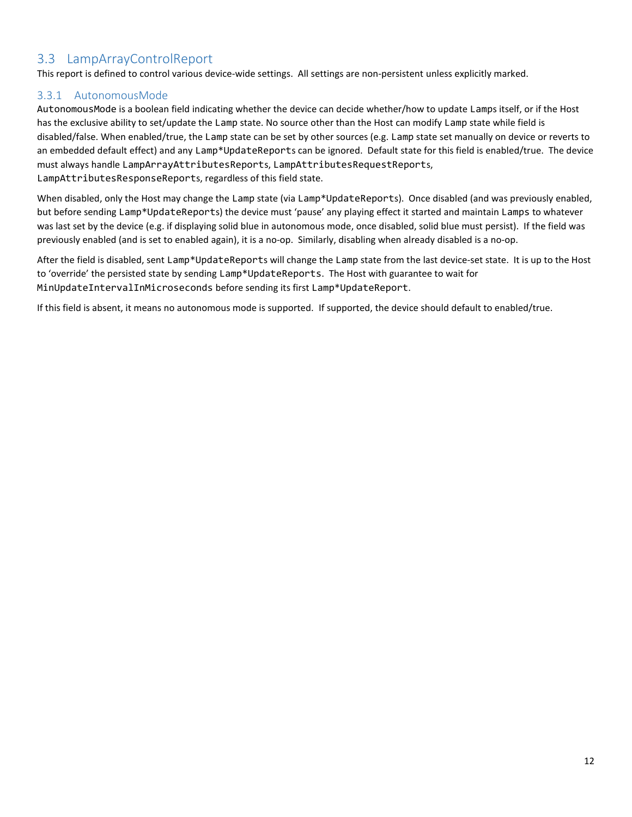## 3.3 LampArrayControlReport

This report is defined to control various device-wide settings. All settings are non-persistent unless explicitly marked.

#### 3.3.1 AutonomousMode

AutonomousMode is a boolean field indicating whether the device can decide whether/how to update Lamps itself, or if the Host has the exclusive ability to set/update the Lamp state. No source other than the Host can modify Lamp state while field is disabled/false. When enabled/true, the Lamp state can be set by other sources (e.g. Lamp state set manually on device or reverts to an embedded default effect) and any Lamp\*UpdateReports can be ignored. Default state for this field is enabled/true. The device must always handle LampArrayAttributesReports, LampAttributesRequestReports, LampAttributesResponseReports, regardless of this field state.

When disabled, only the Host may change the Lamp state (via Lamp\*UpdateReports). Once disabled (and was previously enabled, but before sending Lamp\*UpdateReports) the device must 'pause' any playing effect it started and maintain Lamps to whatever was last set by the device (e.g. if displaying solid blue in autonomous mode, once disabled, solid blue must persist). If the field was previously enabled (and is set to enabled again), it is a no-op. Similarly, disabling when already disabled is a no-op.

After the field is disabled, sent Lamp\*UpdateReports will change the Lamp state from the last device-set state. It is up to the Host to 'override' the persisted state by sending Lamp\*UpdateReports. The Host with guarantee to wait for MinUpdateIntervalInMicroseconds before sending its first Lamp\*UpdateReport.

If this field is absent, it means no autonomous mode is supported. If supported, the device should default to enabled/true.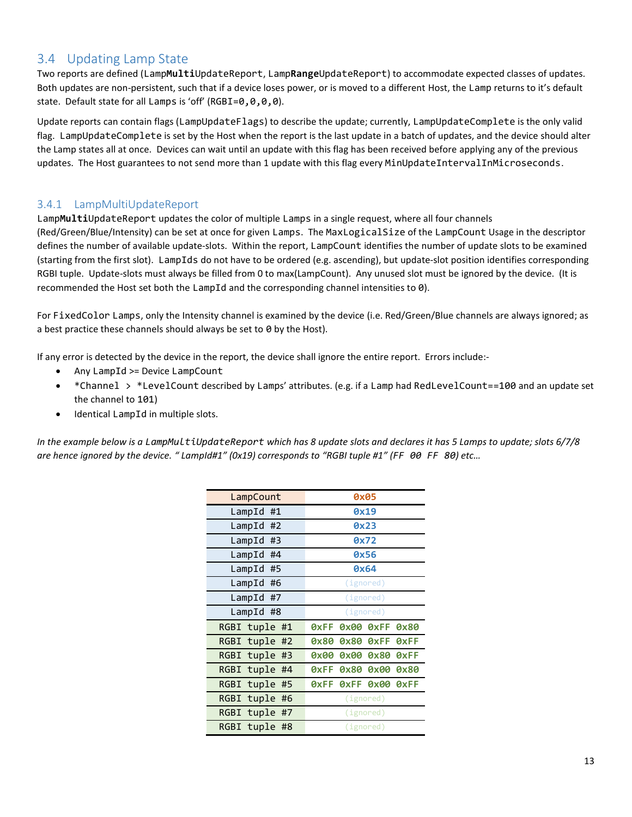## 3.4 Updating Lamp State

Two reports are defined (Lamp**Multi**UpdateReport, Lamp**Range**UpdateReport) to accommodate expected classes of updates. Both updates are non-persistent, such that if a device loses power, or is moved to a different Host, the Lamp returns to it's default state. Default state for all Lamps is 'off' (RGBI=0,0,0,0).

Update reports can contain flags (LampUpdateFlags) to describe the update; currently, LampUpdateComplete is the only valid flag. LampUpdateComplete is set by the Host when the report is the last update in a batch of updates, and the device should alter the Lamp states all at once. Devices can wait until an update with this flag has been received before applying any of the previous updates. The Host guarantees to not send more than 1 update with this flag every MinUpdateIntervalInMicroseconds.

#### 3.4.1 LampMultiUpdateReport

Lamp**Multi**UpdateReport updates the color of multiple Lamps in a single request, where all four channels (Red/Green/Blue/Intensity) can be set at once for given Lamps. The MaxLogicalSize of the LampCount Usage in the descriptor defines the number of available update-slots. Within the report, LampCount identifies the number of update slots to be examined (starting from the first slot). LampIds do not have to be ordered (e.g. ascending), but update-slot position identifies corresponding RGBI tuple. Update-slots must always be filled from 0 to max(LampCount). Any unused slot must be ignored by the device. (It is recommended the Host set both the LampId and the corresponding channel intensities to 0).

For FixedColor Lamps, only the Intensity channel is examined by the device (i.e. Red/Green/Blue channels are always ignored; as a best practice these channels should always be set to 0 by the Host).

If any error is detected by the device in the report, the device shall ignore the entire report. Errors include:-

- Any LampId >= Device LampCount
- \*Channel > \*LevelCount described by Lamps' attributes. (e.g. if a Lamp had RedLevelCount==100 and an update set the channel to 101)
- Identical LampId in multiple slots.

*In the example below is a LampMultiUpdateReport which has 8 update slots and declares it has 5 Lamps to update; slots 6/7/8 are hence ignored by the device. " LampId#1" (0x19) corresponds to "RGBI tuple #1" (FF 00 FF 80) etc…*

| LampCount<br><b>0x05</b> |                                              |  |  |
|--------------------------|----------------------------------------------|--|--|
| LampId<br>#1             | 0x19                                         |  |  |
| LampId<br>#2             | 0x23                                         |  |  |
| LampId<br>#3             | 0x72                                         |  |  |
| LampId<br>#4             | 0x56                                         |  |  |
| LampId<br>#5             | 0x64                                         |  |  |
| LampId<br>#6             | (ignored)                                    |  |  |
| LampId<br>#7             | (ignored)                                    |  |  |
| LampId<br>#8             | (ignored)                                    |  |  |
| RGBI tuple<br>#1         | <b>O</b> xFF<br>0x00<br>0x80<br><b>O</b> xFF |  |  |
| RGBI tuple<br>#2         | 0x80<br>0x80<br><b>ØxFF</b><br><b>OXFF</b>   |  |  |
| RGBI tuple<br>#3         | 0x00<br>0x00<br>0x80<br><b>OXFF</b>          |  |  |
| RGBI tuple<br>#4         | 0x80<br>0x00<br>0xFF<br>0x80                 |  |  |
| tuple<br>RGBI<br>#5      | 0x00<br>0xFF<br>0xFF<br><b>O</b> xFF         |  |  |
| tuple<br>RGBI<br>#6      | (ignored)                                    |  |  |
| tuple<br>#7<br>RGBI      | (ignored)                                    |  |  |
| tuple<br>RGBI<br>#8      | (ignored)                                    |  |  |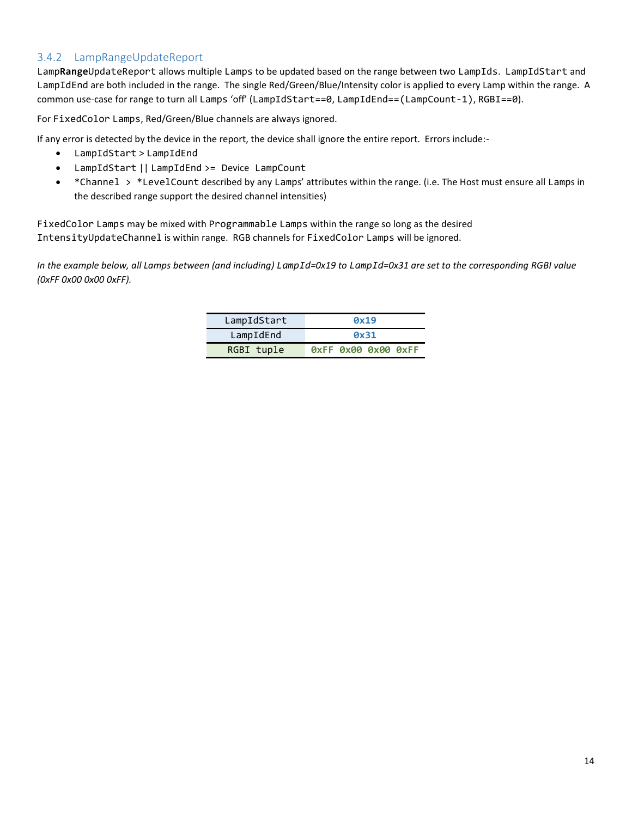#### 3.4.2 LampRangeUpdateReport

Lamp**Range**UpdateReport allows multiple Lamps to be updated based on the range between two LampIds. LampIdStart and LampIdEnd are both included in the range. The single Red/Green/Blue/Intensity color is applied to every Lamp within the range. A common use-case for range to turn all Lamps 'off' (LampIdStart==0, LampIdEnd==(LampCount-1), RGBI==0).

For FixedColor Lamps, Red/Green/Blue channels are always ignored.

If any error is detected by the device in the report, the device shall ignore the entire report. Errors include:-

- LampIdStart > LampIdEnd
- LampIdStart || LampIdEnd >= Device LampCount
- \*Channel > \*LevelCount described by any Lamps' attributes within the range. (i.e. The Host must ensure all Lamps in the described range support the desired channel intensities)

FixedColor Lamps may be mixed with Programmable Lamps within the range so long as the desired IntensityUpdateChannel is within range. RGB channels for FixedColor Lamps will be ignored.

*In the example below, all Lamps between (and including) LampId=0x19 to LampId=0x31 are set to the corresponding RGBI value (0xFF 0x00 0x00 0xFF).*

| LampIdStart | 0x19                |  |  |
|-------------|---------------------|--|--|
| LampIdEnd   | <b>0x31</b>         |  |  |
| RGBI tuple  | 0xFF 0x00 0x00 0xFF |  |  |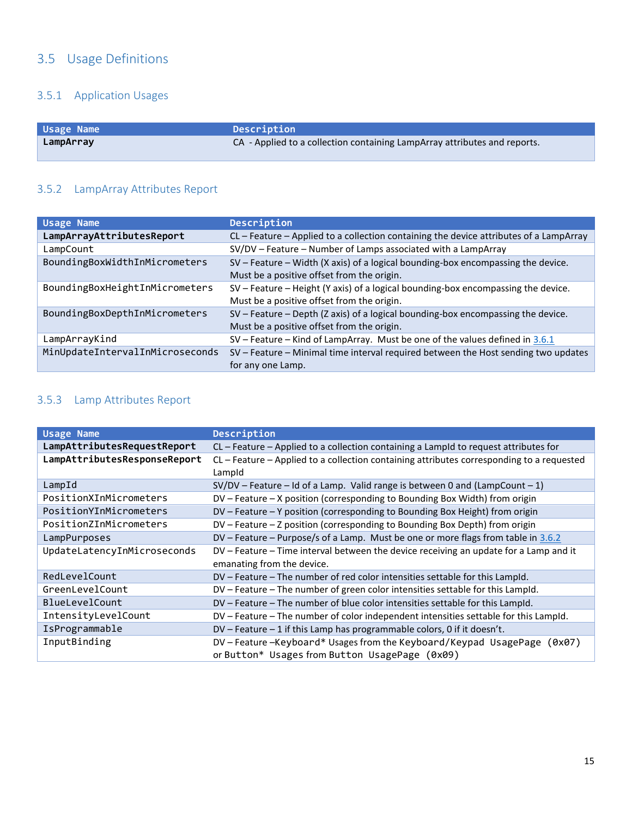# 3.5 Usage Definitions

# 3.5.1 Application Usages

| <b>Usage Name</b> | Description                                                               |
|-------------------|---------------------------------------------------------------------------|
| LampArray         | CA - Applied to a collection containing LampArray attributes and reports. |

# 3.5.2 LampArray Attributes Report

| <b>Usage Name</b>               | Description                                                                            |
|---------------------------------|----------------------------------------------------------------------------------------|
| LampArrayAttributesReport       | CL - Feature - Applied to a collection containing the device attributes of a LampArray |
| LampCount                       | SV/DV - Feature - Number of Lamps associated with a LampArray                          |
| BoundingBoxWidthInMicrometers   | $SV$ – Feature – Width (X axis) of a logical bounding-box encompassing the device.     |
|                                 | Must be a positive offset from the origin.                                             |
| BoundingBoxHeightInMicrometers  | SV - Feature - Height (Y axis) of a logical bounding-box encompassing the device.      |
|                                 | Must be a positive offset from the origin.                                             |
| BoundingBoxDepthInMicrometers   | $SV$ – Feature – Depth (Z axis) of a logical bounding-box encompassing the device.     |
|                                 | Must be a positive offset from the origin.                                             |
| LampArrayKind                   | SV – Feature – Kind of LampArray. Must be one of the values defined in $3.6.1$         |
| MinUpdateIntervalInMicroseconds | SV - Feature - Minimal time interval required between the Host sending two updates     |
|                                 | for any one Lamp.                                                                      |

# 3.5.3 Lamp Attributes Report

| <b>Usage Name</b>            | Description                                                                                                                |
|------------------------------|----------------------------------------------------------------------------------------------------------------------------|
| LampAttributesRequestReport  | CL - Feature - Applied to a collection containing a LampId to request attributes for                                       |
| LampAttributesResponseReport | $CL$ – Feature – Applied to a collection containing attributes corresponding to a requested<br>LampId                      |
| LampId                       | $SV/DV$ – Feature – Id of a Lamp. Valid range is between 0 and (LampCount – 1)                                             |
| PositionXInMicrometers       | $DV$ – Feature – X position (corresponding to Bounding Box Width) from origin                                              |
| PositionYInMicrometers       | DV - Feature - Y position (corresponding to Bounding Box Height) from origin                                               |
| PositionZInMicrometers       | DV - Feature - Z position (corresponding to Bounding Box Depth) from origin                                                |
| LampPurposes                 | DV - Feature - Purpose/s of a Lamp. Must be one or more flags from table in 3.6.2                                          |
| UpdateLatencyInMicroseconds  | DV - Feature - Time interval between the device receiving an update for a Lamp and it<br>emanating from the device.        |
| RedLevelCount                | DV - Feature - The number of red color intensities settable for this Lampld.                                               |
| GreenLevelCount              | DV - Feature - The number of green color intensities settable for this LampId.                                             |
| BlueLevelCount               | DV – Feature – The number of blue color intensities settable for this Lampld.                                              |
| IntensityLevelCount          | DV - Feature - The number of color independent intensities settable for this Lampld.                                       |
| IsProgrammable               | $DV$ – Feature – 1 if this Lamp has programmable colors, 0 if it doesn't.                                                  |
| InputBinding                 | DV-Feature-Keyboard* Usages from the Keyboard/Keypad UsagePage<br>(0x07)<br>or Button* Usages from Button UsagePage (0x09) |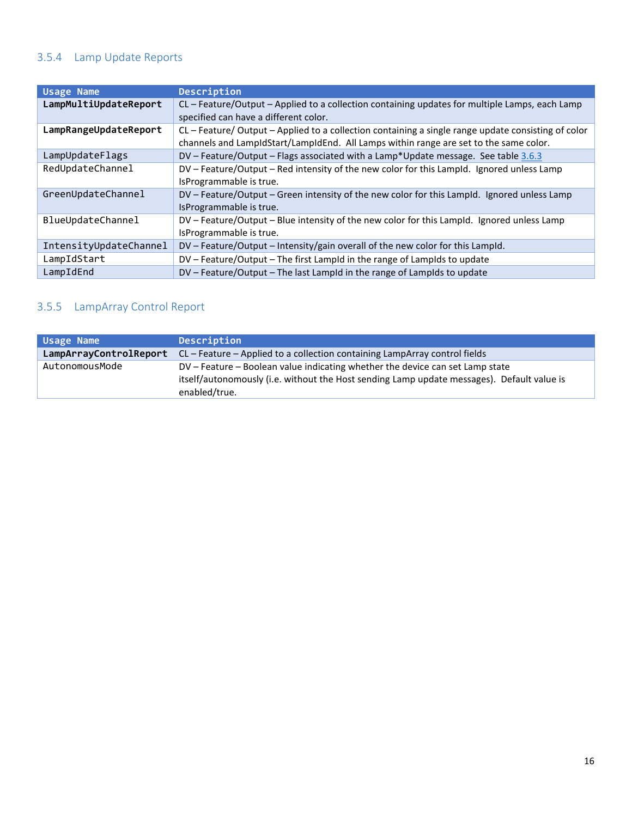## 3.5.4 Lamp Update Reports

| <b>Usage Name</b>      | Description                                                                                                                                                                                  |
|------------------------|----------------------------------------------------------------------------------------------------------------------------------------------------------------------------------------------|
| LampMultiUpdateReport  | CL - Feature/Output - Applied to a collection containing updates for multiple Lamps, each Lamp<br>specified can have a different color.                                                      |
| LampRangeUpdateReport  | CL – Feature/ Output – Applied to a collection containing a single range update consisting of color<br>channels and LampIdStart/LampIdEnd. All Lamps within range are set to the same color. |
| LampUpdateFlags        | DV - Feature/Output - Flags associated with a Lamp*Update message. See table 3.6.3                                                                                                           |
| RedUpdateChannel       | DV - Feature/Output - Red intensity of the new color for this LampId. Ignored unless Lamp<br>IsProgrammable is true.                                                                         |
| GreenUpdateChannel     | DV - Feature/Output - Green intensity of the new color for this LampId. Ignored unless Lamp<br>IsProgrammable is true.                                                                       |
| BlueUpdateChannel      | DV - Feature/Output - Blue intensity of the new color for this LampId. Ignored unless Lamp<br>IsProgrammable is true.                                                                        |
| IntensityUpdateChannel | DV - Feature/Output - Intensity/gain overall of the new color for this LampId.                                                                                                               |
| LampIdStart            | DV - Feature/Output - The first LampId in the range of LampIds to update                                                                                                                     |
| LampIdEnd              | DV - Feature/Output - The last LampId in the range of LampIds to update                                                                                                                      |

## 3.5.5 LampArray Control Report

| Usage Name     | Description                                                                                                                                                                                  |
|----------------|----------------------------------------------------------------------------------------------------------------------------------------------------------------------------------------------|
|                | LampArrayControlReport CL-Feature-Applied to a collection containing LampArray control fields                                                                                                |
| AutonomousMode | DV - Feature - Boolean value indicating whether the device can set Lamp state<br>itself/autonomously (i.e. without the Host sending Lamp update messages). Default value is<br>enabled/true. |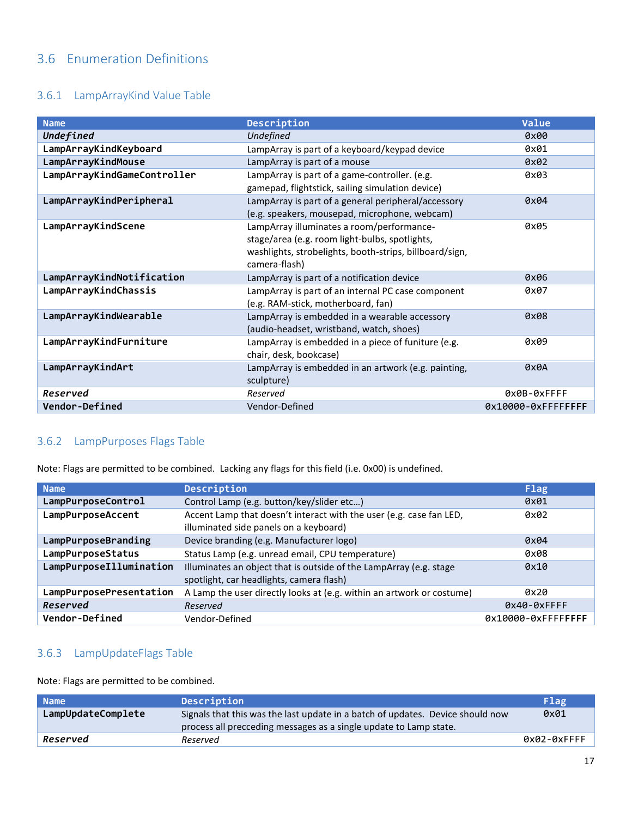# 3.6 Enumeration Definitions

# <span id="page-16-0"></span>3.6.1 LampArrayKind Value Table

| <b>Name</b>                 | Description                                                                                                                                                             | Value                    |
|-----------------------------|-------------------------------------------------------------------------------------------------------------------------------------------------------------------------|--------------------------|
| Undefined                   | Undefined                                                                                                                                                               | 0x00                     |
| LampArrayKindKeyboard       | LampArray is part of a keyboard/keypad device                                                                                                                           | 0x01                     |
| LampArrayKindMouse          | LampArray is part of a mouse                                                                                                                                            | 0x02                     |
| LampArrayKindGameController | LampArray is part of a game-controller. (e.g.<br>gamepad, flightstick, sailing simulation device)                                                                       | 0x03                     |
| LampArrayKindPeripheral     | LampArray is part of a general peripheral/accessory<br>(e.g. speakers, mousepad, microphone, webcam)                                                                    | 0x04                     |
| LampArrayKindScene          | LampArray illuminates a room/performance-<br>stage/area (e.g. room light-bulbs, spotlights,<br>washlights, strobelights, booth-strips, billboard/sign,<br>camera-flash) | 0x05                     |
| LampArrayKindNotification   | LampArray is part of a notification device                                                                                                                              | 0x06                     |
| LampArrayKindChassis        | LampArray is part of an internal PC case component<br>(e.g. RAM-stick, motherboard, fan)                                                                                | 0x07                     |
| LampArrayKindWearable       | LampArray is embedded in a wearable accessory<br>(audio-headset, wristband, watch, shoes)                                                                               | 0x08                     |
| LampArrayKindFurniture      | LampArray is embedded in a piece of funiture (e.g.<br>chair, desk, bookcase)                                                                                            | 0x09                     |
| LampArrayKindArt            | LampArray is embedded in an artwork (e.g. painting,<br>sculpture)                                                                                                       | 0x0A                     |
| <b>Reserved</b>             | Reserved                                                                                                                                                                | 0x0B-0xFFFF              |
| Vendor-Defined              | Vendor-Defined                                                                                                                                                          | $0x10000 - 0x$ FFFFFFFFF |

### <span id="page-16-1"></span>3.6.2 LampPurposes Flags Table

Note: Flags are permitted to be combined. Lacking any flags for this field (i.e. 0x00) is undefined.

| <b>Name</b>             | Description                                                                                                    | <b>Flag</b>        |
|-------------------------|----------------------------------------------------------------------------------------------------------------|--------------------|
| LampPurposeControl      | Control Lamp (e.g. button/key/slider etc)                                                                      | 0x01               |
| LampPurposeAccent       | Accent Lamp that doesn't interact with the user (e.g. case fan LED,<br>illuminated side panels on a keyboard)  | 0x02               |
| LampPurposeBranding     | Device branding (e.g. Manufacturer logo)                                                                       | 0x04               |
| LampPurposeStatus       | Status Lamp (e.g. unread email, CPU temperature)                                                               | 0x08               |
| LampPurposeIllumination | Illuminates an object that is outside of the LampArray (e.g. stage<br>spotlight, car headlights, camera flash) | 0x10               |
| LampPurposePresentation | A Lamp the user directly looks at (e.g. within an artwork or costume)                                          | QX2Q               |
| Reserved                | Reserved                                                                                                       | 0x40-0xFFFF        |
| Vendor-Defined          | Vendor-Defined                                                                                                 | 0x10000-0xFFFFFFFF |

## <span id="page-16-2"></span>3.6.3 LampUpdateFlags Table

Note: Flags are permitted to be combined.

| <b>Name</b>        | <b>Description</b>                                                                                                                                  | <b>Flag</b> |
|--------------------|-----------------------------------------------------------------------------------------------------------------------------------------------------|-------------|
| LampUpdateComplete | Signals that this was the last update in a batch of updates. Device should now<br>process all precceding messages as a single update to Lamp state. | 0x01        |
| Reserved           | Reserved                                                                                                                                            | 0x02-0xFFFF |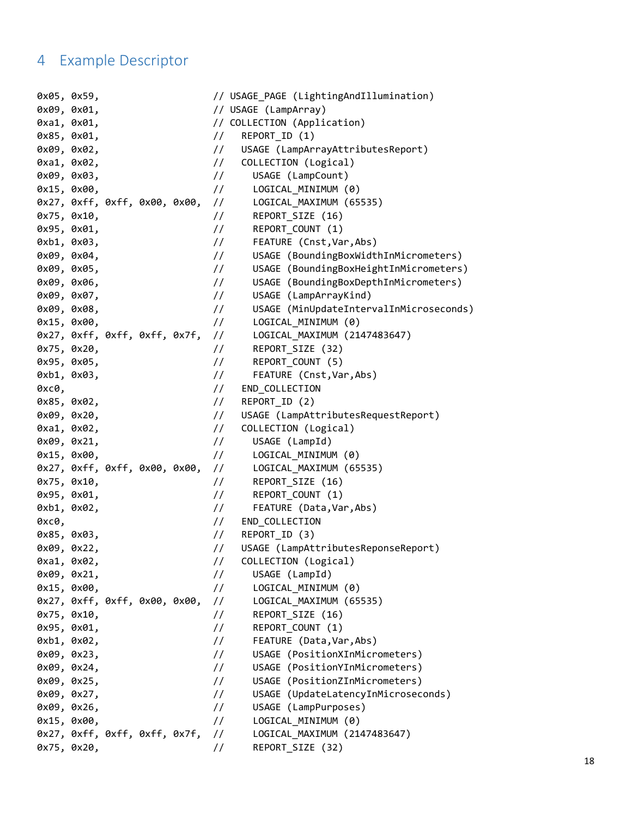# 4 Example Descriptor

| 0x05, 0x59, |                               |  |               | // USAGE_PAGE (LightingAndIllumination) |
|-------------|-------------------------------|--|---------------|-----------------------------------------|
| 0x09, 0x01, |                               |  |               | // USAGE (LampArray)                    |
| 0xa1, 0x01, |                               |  |               | // COLLECTION (Application)             |
| 0x85, 0x01, |                               |  | $\frac{1}{2}$ | REPORT_ID (1)                           |
| 0x09, 0x02, |                               |  | $\frac{1}{2}$ | USAGE (LampArrayAttributesReport)       |
| 0xa1, 0x02, |                               |  | $\frac{1}{2}$ | COLLECTION (Logical)                    |
| 0x09, 0x03, |                               |  | $\frac{1}{2}$ | USAGE (LampCount)                       |
| 0x15, 0x00, |                               |  | $\frac{1}{2}$ | LOGICAL_MINIMUM (0)                     |
|             | 0x27, 0xff, 0xff, 0x00, 0x00, |  | $\frac{1}{2}$ | LOGICAL_MAXIMUM (65535)                 |
| 0x75, 0x10, |                               |  | $\frac{1}{2}$ | REPORT_SIZE (16)                        |
| 0x95, 0x01, |                               |  | $\frac{1}{2}$ | REPORT_COUNT (1)                        |
|             | 0xb1, 0x03,                   |  | $\frac{1}{2}$ | FEATURE (Cnst, Var, Abs)                |
|             | 0x09, 0x04,                   |  | $\frac{1}{2}$ | USAGE (BoundingBoxWidthInMicrometers)   |
| 0x09, 0x05, |                               |  | $\frac{1}{2}$ | USAGE (BoundingBoxHeightInMicrometers)  |
| 0x09, 0x06, |                               |  | $\frac{1}{2}$ | USAGE (BoundingBoxDepthInMicrometers)   |
| 0x09, 0x07, |                               |  | $\frac{1}{2}$ | USAGE (LampArrayKind)                   |
| 0x09, 0x08, |                               |  | $\frac{1}{2}$ | USAGE (MinUpdateIntervalInMicroseconds) |
|             | 0x15, 0x00,                   |  | $\frac{1}{2}$ | LOGICAL_MINIMUM (0)                     |
|             | 0x27, 0xff, 0xff, 0xff, 0x7f, |  | $\frac{1}{2}$ | LOGICAL_MAXIMUM (2147483647)            |
| 0x75, 0x20, |                               |  | $\frac{1}{2}$ | REPORT SIZE (32)                        |
| 0x95, 0x05, |                               |  | $\frac{1}{2}$ | REPORT_COUNT (5)                        |
| 0xb1, 0x03, |                               |  | $\frac{1}{2}$ | FEATURE (Cnst, Var, Abs)                |
| 0xc0,       |                               |  | $\frac{1}{2}$ | END_COLLECTION                          |
| 0x85, 0x02, |                               |  | $\frac{1}{2}$ | REPORT_ID (2)                           |
|             | 0x09, 0x20,                   |  | $\frac{1}{2}$ | USAGE (LampAttributesRequestReport)     |
| 0xa1, 0x02, |                               |  | $\frac{1}{2}$ | COLLECTION (Logical)                    |
| 0x09, 0x21, |                               |  | $\frac{1}{2}$ | USAGE (LampId)                          |
|             | 0x15, 0x00,                   |  | $\frac{1}{2}$ | LOGICAL_MINIMUM (0)                     |
|             | 0x27, 0xff, 0xff, 0x00, 0x00, |  | $\frac{1}{2}$ | LOGICAL_MAXIMUM (65535)                 |
| 0x75, 0x10, |                               |  | $\frac{1}{2}$ | REPORT_SIZE (16)                        |
| 0x95, 0x01, |                               |  | $\frac{1}{2}$ | REPORT_COUNT (1)                        |
| 0xb1, 0x02, |                               |  | $\frac{1}{2}$ | FEATURE (Data, Var, Abs)                |
| 0хс0,       |                               |  | $\frac{1}{2}$ | END_COLLECTION                          |
| 0x85, 0x03, |                               |  | $\frac{1}{2}$ | REPORT_ID (3)                           |
| 0x09, 0x22, |                               |  | $\frac{1}{2}$ | USAGE (LampAttributesReponseReport)     |
| 0xa1, 0x02, |                               |  | $\frac{1}{2}$ | COLLECTION (Logical)                    |
| 0x09, 0x21, |                               |  | $\frac{1}{2}$ | USAGE (LampId)                          |
|             | 0x15, 0x00,                   |  | $\frac{1}{2}$ | LOGICAL_MINIMUM (0)                     |
|             | 0x27, 0xff, 0xff, 0x00, 0x00, |  | $\frac{1}{2}$ | LOGICAL MAXIMUM (65535)                 |
|             | 0x75, 0x10,                   |  | $\frac{1}{2}$ | REPORT_SIZE (16)                        |
| 0x95, 0x01, |                               |  | $\frac{1}{2}$ | REPORT_COUNT (1)                        |
|             | 0xb1, 0x02,                   |  | $\frac{1}{2}$ | FEATURE (Data, Var, Abs)                |
| 0x09, 0x23, |                               |  | $\frac{1}{2}$ | USAGE (PositionXInMicrometers)          |
| 0x09, 0x24, |                               |  | $\frac{1}{2}$ | USAGE (PositionYInMicrometers)          |
|             | 0x09, 0x25,                   |  | $\frac{1}{2}$ | USAGE (PositionZInMicrometers)          |
|             | 0x09, 0x27,                   |  | $\frac{1}{2}$ | USAGE (UpdateLatencyInMicroseconds)     |
|             | 0x09, 0x26,                   |  | $\frac{1}{2}$ | USAGE (LampPurposes)                    |
| 0x15, 0x00, |                               |  | $\frac{1}{2}$ | LOGICAL_MINIMUM (0)                     |
|             | 0x27, 0xff, 0xff, 0xff, 0x7f, |  |               |                                         |
|             |                               |  | $\frac{1}{2}$ | LOGICAL_MAXIMUM (2147483647)            |
|             | 0x75, 0x20,                   |  | $\frac{1}{2}$ | REPORT_SIZE (32)                        |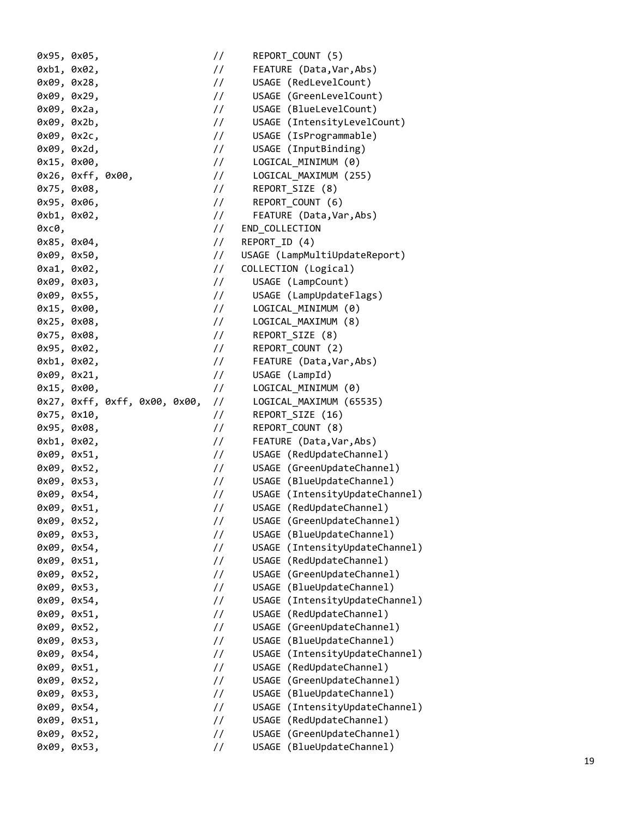|       | 0x95, 0x05,                   |  | $\frac{1}{2}$ | REPORT COUNT (5)               |
|-------|-------------------------------|--|---------------|--------------------------------|
|       | 0xb1, 0x02,                   |  | $\frac{1}{2}$ | FEATURE (Data, Var, Abs)       |
|       | 0x09, 0x28,                   |  | $\frac{1}{2}$ | USAGE (RedLevelCount)          |
|       | 0x09, 0x29,                   |  | $\frac{1}{2}$ | USAGE (GreenLevelCount)        |
|       | 0x09, 0x2a,                   |  | $\frac{1}{2}$ | USAGE (BlueLevelCount)         |
|       | 0x09, 0x2b,                   |  | $\frac{1}{2}$ | USAGE (IntensityLevelCount)    |
|       | 0x09, 0x2c,                   |  | $\frac{1}{2}$ | USAGE (IsProgrammable)         |
|       | 0x09, 0x2d,                   |  | $\frac{1}{2}$ | USAGE (InputBinding)           |
|       | 0x15, 0x00,                   |  | $\frac{1}{2}$ | LOGICAL_MINIMUM (0)            |
|       | 0x26, 0xff, 0x00,             |  | $\frac{1}{2}$ | LOGICAL_MAXIMUM (255)          |
|       | 0x75, 0x08,                   |  | $\frac{1}{2}$ | REPORT_SIZE (8)                |
|       | 0x95, 0x06,                   |  | $\frac{1}{2}$ | REPORT COUNT (6)               |
|       |                               |  |               |                                |
|       | 0xb1, 0x02,                   |  | $\frac{1}{2}$ | FEATURE (Data, Var, Abs)       |
| 0хс0, |                               |  | $\frac{1}{2}$ | END_COLLECTION                 |
|       | 0x85, 0x04,                   |  | $\frac{1}{2}$ | REPORT_ID (4)                  |
|       | 0x09, 0x50,                   |  | $\frac{1}{2}$ | USAGE (LampMultiUpdateReport)  |
|       | 0xa1, 0x02,                   |  | $\frac{1}{2}$ | COLLECTION (Logical)           |
|       | 0x09, 0x03,                   |  | $\frac{1}{2}$ | USAGE (LampCount)              |
|       | 0x09, 0x55,                   |  | $\frac{1}{2}$ | USAGE (LampUpdateFlags)        |
|       | 0x15, 0x00,                   |  | $\frac{1}{2}$ | LOGICAL_MINIMUM (0)            |
|       | 0x25, 0x08,                   |  | $\frac{1}{2}$ | LOGICAL_MAXIMUM (8)            |
|       | 0x75, 0x08,                   |  | $\frac{1}{2}$ | REPORT SIZE (8)                |
|       | 0x95, 0x02,                   |  | $\frac{1}{2}$ | REPORT_COUNT (2)               |
|       | 0xb1, 0x02,                   |  | $\frac{1}{2}$ | FEATURE (Data, Var, Abs)       |
|       | 0x09, 0x21,                   |  | $\frac{1}{2}$ | USAGE (LampId)                 |
|       | 0x15, 0x00,                   |  | $\frac{1}{2}$ | LOGICAL_MINIMUM (0)            |
|       | 0x27, 0xff, 0xff, 0x00, 0x00, |  | $\frac{1}{2}$ | LOGICAL_MAXIMUM (65535)        |
|       | 0x75, 0x10,                   |  | $\frac{1}{2}$ | REPORT_SIZE (16)               |
|       | 0x95, 0x08,                   |  | $\frac{1}{2}$ | REPORT_COUNT (8)               |
|       | 0xb1, 0x02,                   |  | $\frac{1}{2}$ | FEATURE (Data, Var, Abs)       |
|       | 0x09, 0x51,                   |  | $\frac{1}{2}$ | USAGE (RedUpdateChannel)       |
|       | 0x09, 0x52,                   |  | $\frac{1}{2}$ | USAGE (GreenUpdateChannel)     |
|       | 0x09, 0x53,                   |  | $\frac{1}{2}$ | USAGE (BlueUpdateChannel)      |
|       | 0x09, 0x54,                   |  | $\frac{1}{2}$ | USAGE (IntensityUpdateChannel) |
|       | 0x09, 0x51,                   |  |               | USAGE (RedUpdateChannel)       |
|       |                               |  | $\frac{1}{2}$ |                                |
|       | 0x09, 0x52,                   |  | $\frac{1}{2}$ | USAGE (GreenUpdateChannel)     |
|       | 0x09, 0x53,                   |  | $\frac{1}{2}$ | USAGE (BlueUpdateChannel)      |
|       | 0x09, 0x54,                   |  | $\frac{1}{2}$ | USAGE (IntensityUpdateChannel) |
|       | 0x09, 0x51,                   |  | $\frac{1}{2}$ | USAGE (RedUpdateChannel)       |
|       | 0x09, 0x52,                   |  | $\frac{1}{2}$ | USAGE (GreenUpdateChannel)     |
|       | 0x09, 0x53,                   |  | $\frac{1}{2}$ | USAGE (BlueUpdateChannel)      |
|       | 0x09, 0x54,                   |  | $\frac{1}{2}$ | USAGE (IntensityUpdateChannel) |
|       | 0x09, 0x51,                   |  | $\frac{1}{2}$ | USAGE (RedUpdateChannel)       |
|       | 0x09, 0x52,                   |  | $\frac{1}{2}$ | USAGE (GreenUpdateChannel)     |
|       | 0x09, 0x53,                   |  | $\frac{1}{2}$ | USAGE (BlueUpdateChannel)      |
|       | 0x09, 0x54,                   |  | $\frac{1}{2}$ | USAGE (IntensityUpdateChannel) |
|       | 0x09, 0x51,                   |  | $\frac{1}{2}$ | USAGE (RedUpdateChannel)       |
|       | 0x09, 0x52,                   |  | $\frac{1}{2}$ | USAGE (GreenUpdateChannel)     |
|       | 0x09, 0x53,                   |  | $\frac{1}{2}$ | USAGE (BlueUpdateChannel)      |
|       | 0x09, 0x54,                   |  | $\frac{1}{2}$ | USAGE (IntensityUpdateChannel) |
|       | 0x09, 0x51,                   |  | $\frac{1}{2}$ | USAGE (RedUpdateChannel)       |
|       | 0x09, 0x52,                   |  | $\frac{1}{2}$ | USAGE (GreenUpdateChannel)     |
|       | 0x09, 0x53,                   |  | $\frac{1}{2}$ | USAGE (BlueUpdateChannel)      |
|       |                               |  |               |                                |